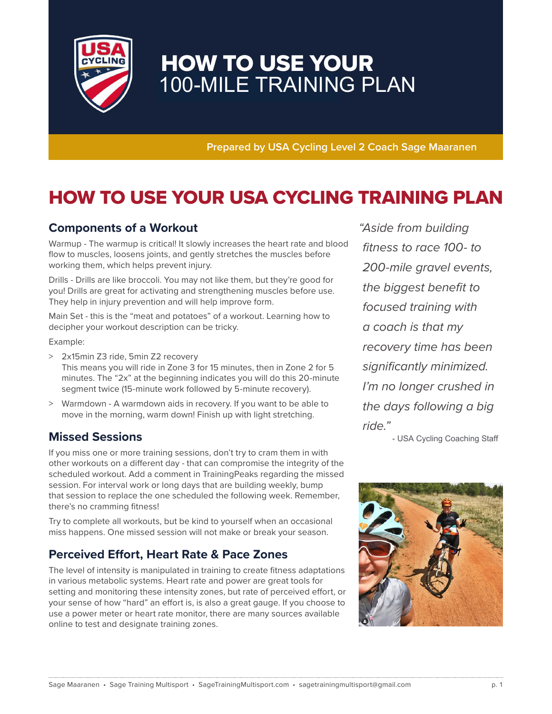

# HOW TO USE YOUR 100-MILE TRAINING PLAN

**Prepared by USA Cycling Level 2 Coach Sage Maaranen**

# HOW TO USE YOUR USA CYCLING TRAINING PLAN

### **Components of a Workout**

Warmup - The warmup is critical! It slowly increases the heart rate and blood flow to muscles, loosens joints, and gently stretches the muscles before working them, which helps prevent injury.

Drills - Drills are like broccoli. You may not like them, but they're good for you! Drills are great for activating and strengthening muscles before use. They help in injury prevention and will help improve form.

Main Set - this is the "meat and potatoes" of a workout. Learning how to decipher your workout description can be tricky.

Example:

- > 2x15min Z3 ride, 5min Z2 recovery This means you will ride in Zone 3 for 15 minutes, then in Zone 2 for 5 minutes. The "2x" at the beginning indicates you will do this 20-minute segment twice (15-minute work followed by 5-minute recovery).
- > Warmdown A warmdown aids in recovery. If you want to be able to move in the morning, warm down! Finish up with light stretching.

### **Missed Sessions**

If you miss one or more training sessions, don't try to cram them in with other workouts on a different day - that can compromise the integrity of the scheduled workout. Add a comment in TrainingPeaks regarding the missed session. For interval work or long days that are building weekly, bump that session to replace the one scheduled the following week. Remember, there's no cramming fitness!

Try to complete all workouts, but be kind to yourself when an occasional miss happens. One missed session will not make or break your season.

### **Perceived Effort, Heart Rate & Pace Zones**

The level of intensity is manipulated in training to create fitness adaptations in various metabolic systems. Heart rate and power are great tools for setting and monitoring these intensity zones, but rate of perceived effort, or your sense of how "hard" an effort is, is also a great gauge. If you choose to use a power meter or heart rate monitor, there are many sources available online to test and designate training zones.

" Aside from building fitness to race 100- to 200-mile gravel events, the biggest benefit to focused training with a coach is that my recovery time has been significantly minimized. I'm no longer crushed in the days following a big ride."

- USA Cycling Coaching Staff

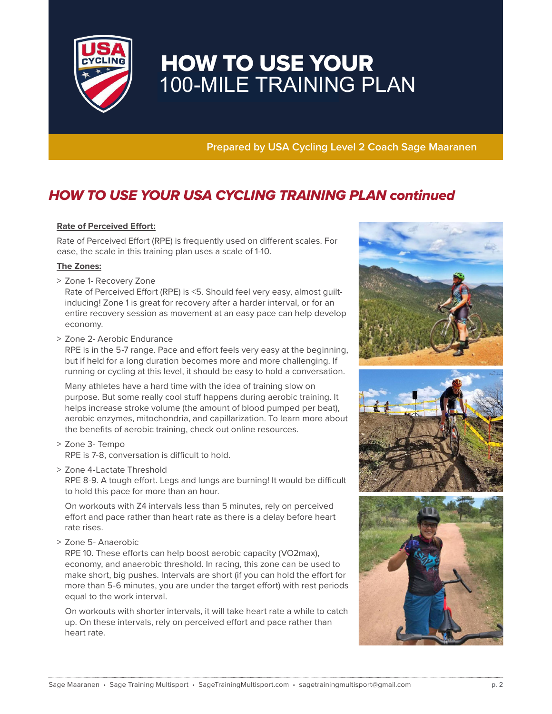

# HOW TO USE YOUR 100-MILE TRAINING PLAN

**Prepared by USA Cycling Level 2 Coach Sage Maaranen**

## HOW TO USE YOUR USA CYCLING TRAINING PLAN continued

#### **Rate of Perceived Effort:**

Rate of Perceived Effort (RPE) is frequently used on different scales. For ease, the scale in this training plan uses a scale of 1-10.

#### **The Zones:**

> Zone 1- Recovery Zone

 Rate of Perceived Effort (RPE) is <5. Should feel very easy, almost guiltinducing! Zone 1 is great for recovery after a harder interval, or for an entire recovery session as movement at an easy pace can help develop economy.

> Zone 2- Aerobic Endurance

 RPE is in the 5-7 range. Pace and effort feels very easy at the beginning, but if held for a long duration becomes more and more challenging. If running or cycling at this level, it should be easy to hold a conversation.

 Many athletes have a hard time with the idea of training slow on purpose. But some really cool stuff happens during aerobic training. It helps increase stroke volume (the amount of blood pumped per beat), aerobic enzymes, mitochondria, and capillarization. To learn more about the benefits of aerobic training, check out online resources.

- > Zone 3- Tempo RPE is 7-8, conversation is difficult to hold.
- > Zone 4-Lactate Threshold

 RPE 8-9. A tough effort. Legs and lungs are burning! It would be difficult to hold this pace for more than an hour.

 On workouts with Z4 intervals less than 5 minutes, rely on perceived effort and pace rather than heart rate as there is a delay before heart rate rises.

> Zone 5- Anaerobic

 RPE 10. These efforts can help boost aerobic capacity (VO2max), economy, and anaerobic threshold. In racing, this zone can be used to make short, big pushes. Intervals are short (if you can hold the effort for more than 5-6 minutes, you are under the target effort) with rest periods equal to the work interval.

 On workouts with shorter intervals, it will take heart rate a while to catch up. On these intervals, rely on perceived effort and pace rather than heart rate.

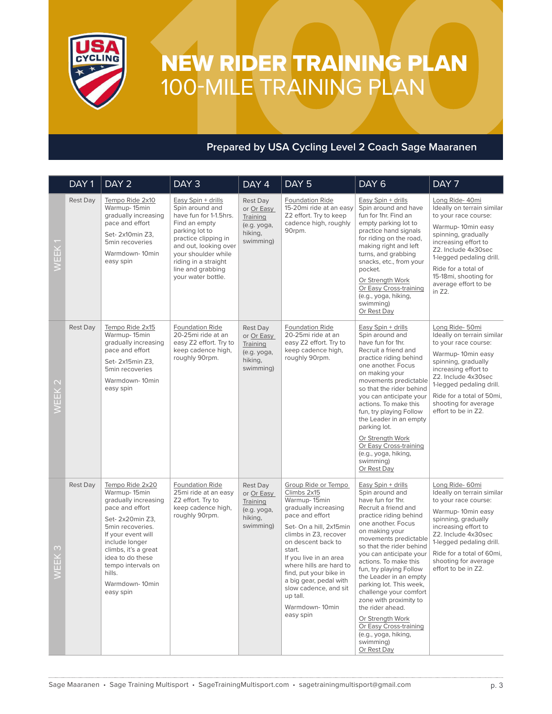

# NEW RIDER TRAINING PLAN 100-MILE TRAINING PLAN

### **Prepared by USA Cycling Level 2 Coach Sage Maaranen**

|               | DAY <sub>1</sub> | DAY <sub>2</sub>                                                                                                                                                                                                                                                      | DAY <sub>3</sub>                                                                                                                                                                                                                              | DAY 4                                                                     | DAY <sub>5</sub>                                                                                                                                                                                                                                                                                                                                               | DAY <sub>6</sub>                                                                                                                                                                                                                                                                                                                                                                                                                                                                                                        | DAY 7                                                                                                                                                                                                                                                                          |
|---------------|------------------|-----------------------------------------------------------------------------------------------------------------------------------------------------------------------------------------------------------------------------------------------------------------------|-----------------------------------------------------------------------------------------------------------------------------------------------------------------------------------------------------------------------------------------------|---------------------------------------------------------------------------|----------------------------------------------------------------------------------------------------------------------------------------------------------------------------------------------------------------------------------------------------------------------------------------------------------------------------------------------------------------|-------------------------------------------------------------------------------------------------------------------------------------------------------------------------------------------------------------------------------------------------------------------------------------------------------------------------------------------------------------------------------------------------------------------------------------------------------------------------------------------------------------------------|--------------------------------------------------------------------------------------------------------------------------------------------------------------------------------------------------------------------------------------------------------------------------------|
| WEEK          | Rest Day         | Tempo Ride 2x10<br>Warmup-15min<br>gradually increasing<br>pace and effort<br>Set-2x10min Z3.<br>5min recoveries<br>Warmdown-10min<br>easy spin                                                                                                                       | Easy Spin + drills<br>Spin around and<br>have fun for 1-1.5hrs.<br>Find an empty<br>parking lot to<br>practice clipping in<br>and out, looking over<br>your shoulder while<br>riding in a straight<br>line and grabbing<br>your water bottle. | Rest Day<br>or Or Easy<br>Training<br>(e.g. yoga,<br>hiking,<br>swimming) | Foundation Ride<br>15-20mi ride at an easy<br>Z2 effort. Try to keep<br>cadence high, roughly<br>90rpm.                                                                                                                                                                                                                                                        | Easy Spin + drills<br>Spin around and have<br>fun for 1hr. Find an<br>empty parking lot to<br>practice hand signals<br>for riding on the road,<br>making right and left<br>turns, and grabbing<br>snacks, etc., from your<br>pocket.<br>Or Strength Work<br>Or Easy Cross-training<br>(e.g., yoga, hiking,<br>swimming)<br>Or Rest Day                                                                                                                                                                                  | Long Ride- 40mi<br>Ideally on terrain similar<br>to your race course:<br>Warmup-10min easy<br>spinning, gradually<br>increasing effort to<br>Z2. Include 4x30sec<br>1-legged pedaling drill.<br>Ride for a total of<br>15-18mi, shooting for<br>average effort to be<br>in Z2. |
| WEEK          | <b>Rest Day</b>  | Tempo Ride 2x15<br>Warmup-15min<br>gradually increasing<br>pace and effort<br>Set- 2x15min Z3.<br>5min recoveries<br>Warmdown-10min<br>easy spin                                                                                                                      | Foundation Ride<br>20-25mi ride at an<br>easy Z2 effort. Try to<br>keep cadence high,<br>roughly 90rpm.                                                                                                                                       | Rest Day<br>or Or Easy<br>Training<br>(e.g. yoga,<br>hiking,<br>swimming) | <b>Foundation Ride</b><br>20-25mi ride at an<br>easy Z2 effort. Try to<br>keep cadence high,<br>roughly 90rpm.                                                                                                                                                                                                                                                 | Easy Spin + drills<br>Spin around and<br>have fun for 1hr.<br>Recruit a friend and<br>practice riding behind<br>one another. Focus<br>on making your<br>movements predictable<br>so that the rider behind<br>you can anticipate your<br>actions. To make this<br>fun, try playing Follow<br>the Leader in an empty<br>parking lot.<br>Or Strength Work<br>Or Easy Cross-training<br>(e.g., yoga, hiking,<br>swimming)<br>Or Rest Day                                                                                    | Long Ride- 50mi<br>Ideally on terrain similar<br>to your race course:<br>Warmup-10min easy<br>spinning, gradually<br>increasing effort to<br>Z2. Include 4x30sec<br>1-legged pedaling drill.<br>Ride for a total of 50mi,<br>shooting for average<br>effort to be in Z2.       |
| $\infty$<br>田 | <b>Rest Day</b>  | Tempo Ride 2x20<br>Warmup-15min<br>gradually increasing<br>pace and effort<br>Set- 2x20min Z3,<br>5min recoveries.<br>If your event will<br>include longer<br>climbs, it's a great<br>idea to do these<br>tempo intervals on<br>hills.<br>Warmdown-10min<br>easy spin | Foundation Ride<br>25mi ride at an easy<br>Z2 effort. Try to<br>keep cadence high,<br>roughly 90rpm.                                                                                                                                          | Rest Day<br>or Or Easy<br>Training<br>(e.g. yoga,<br>hiking,<br>swimming) | Group Ride or Tempo<br>Climbs 2x15<br>Warmup-15min<br>gradually increasing<br>pace and effort<br>Set- On a hill, 2x15min<br>climbs in Z3, recover<br>on descent back to<br>start.<br>If you live in an area<br>where hills are hard to<br>find, put your bike in<br>a big gear, pedal with<br>slow cadence, and sit<br>up tall.<br>Warmdown-10min<br>easy spin | Easy Spin + drills<br>Spin around and<br>have fun for 1hr.<br>Recruit a friend and<br>practice riding behind<br>one another. Focus<br>on making your<br>movements predictable<br>so that the rider behind<br>you can anticipate your<br>actions. To make this<br>fun, try playing Follow<br>the Leader in an empty<br>parking lot. This week,<br>challenge your comfort<br>zone with proximity to<br>the rider ahead.<br>Or Strength Work<br>Or Easy Cross-training<br>(e.g., yoga, hiking,<br>swimming)<br>Or Rest Day | Long Ride- 60mi<br>Ideally on terrain similar<br>to your race course:<br>Warmup-10min easy<br>spinning, gradually<br>increasing effort to<br>Z2. Include 4x30sec<br>1-legged pedaling drill.<br>Ride for a total of 60mi.<br>shooting for average<br>effort to be in Z2.       |
|               |                  |                                                                                                                                                                                                                                                                       |                                                                                                                                                                                                                                               |                                                                           | Sage Maaranen • Sage Training Multisport • SageTrainingMultisport.com • sagetrainingmultisport@gmail.com                                                                                                                                                                                                                                                       |                                                                                                                                                                                                                                                                                                                                                                                                                                                                                                                         | p. 3                                                                                                                                                                                                                                                                           |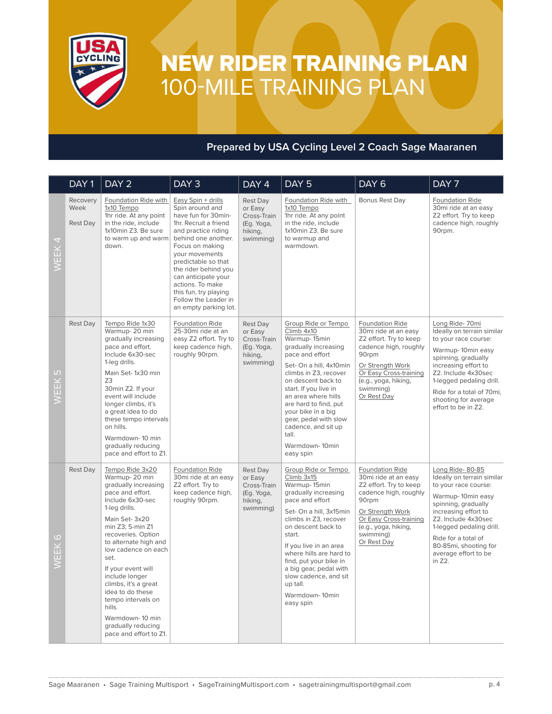

# NEW RIDER TRAINING PLAN 100-MILE TRAINING PLAN

### **Prepared by USA Cycling Level 2 Coach Sage Maaranen**

|                                                                                                                  | DAY <sub>1</sub>                    | DAY <sub>2</sub>                                                                                                                                                                                                                                                                                                                                                                                                            | DAY <sub>3</sub>                                                                                                                                                                                                                                                                                                                             | $\overline{DAY}$ 4                                                       | DAY <sub>5</sub>                                                                                                                                                                                                                                                                                                                                              | DAY <sub>6</sub>                                                                                                                                                                                      | DAY 7                                                                                                                                                                                                                                                                          |
|------------------------------------------------------------------------------------------------------------------|-------------------------------------|-----------------------------------------------------------------------------------------------------------------------------------------------------------------------------------------------------------------------------------------------------------------------------------------------------------------------------------------------------------------------------------------------------------------------------|----------------------------------------------------------------------------------------------------------------------------------------------------------------------------------------------------------------------------------------------------------------------------------------------------------------------------------------------|--------------------------------------------------------------------------|---------------------------------------------------------------------------------------------------------------------------------------------------------------------------------------------------------------------------------------------------------------------------------------------------------------------------------------------------------------|-------------------------------------------------------------------------------------------------------------------------------------------------------------------------------------------------------|--------------------------------------------------------------------------------------------------------------------------------------------------------------------------------------------------------------------------------------------------------------------------------|
| 4<br>WEEK                                                                                                        | Recovery<br>Week<br><b>Rest Day</b> | Foundation Ride with<br>1x10 Tempo<br>1hr ride. At any point<br>in the ride, include<br>1x10min Z3. Be sure<br>to warm up and warm<br>down.                                                                                                                                                                                                                                                                                 | Easy Spin + drills<br>Spin around and<br>have fun for 30min-<br>1hr. Recruit a friend<br>and practice riding<br>behind one another.<br>Focus on making<br>your movements<br>predictable so that<br>the rider behind you<br>can anticipate your<br>actions. To make<br>this fun, try playing<br>Follow the Leader in<br>an empty parking lot. | Rest Day<br>or Easy<br>Cross-Train<br>(Eg. Yoga,<br>hiking,<br>swimming) | Foundation Ride with<br>1x10 Tempo<br>1hr ride. At any point<br>in the ride, include<br>1x10min Z3. Be sure<br>to warmup and<br>warmdown.                                                                                                                                                                                                                     | Bonus Rest Day                                                                                                                                                                                        | <b>Foundation Ride</b><br>30mi ride at an easy<br>Z2 effort. Try to keep<br>cadence high, roughly<br>90rpm.                                                                                                                                                                    |
| Ю<br>WEEK                                                                                                        | <b>Rest Day</b>                     | Tempo Ride 1x30<br>Warmup-20 min<br>gradually increasing<br>pace and effort.<br>Include 6x30-sec<br>1-leg drills.<br>Main Set-1x30 min<br>Z3<br>30min Z2. If your<br>event will include<br>longer climbs, it's<br>a great idea to do<br>these tempo intervals<br>on hills.<br>Warmdown-10 min<br>gradually reducing<br>pace and effort to Z1.                                                                               | Foundation Ride<br>25-30mi ride at an<br>easy Z2 effort. Try to<br>keep cadence high,<br>roughly 90rpm.                                                                                                                                                                                                                                      | Rest Day<br>or Easy<br>Cross-Train<br>(Eg. Yoga,<br>hiking,<br>swimming) | Group Ride or Tempo<br>Climb 4x10<br>Warmup-15min<br>gradually increasing<br>pace and effort<br>Set- On a hill, 4x10min<br>climbs in Z3, recover<br>on descent back to<br>start. If you live in<br>an area where hills<br>are hard to find, put<br>your bike in a big<br>gear, pedal with slow<br>cadence, and sit up<br>tall.<br>Warmdown-10min<br>easy spin | Foundation Ride<br>30mi ride at an easy<br>Z2 effort. Try to keep<br>cadence high, roughly<br>90rpm<br>Or Strength Work<br>Or Easy Cross-training<br>(e.g., yoga, hiking,<br>swimming)<br>Or Rest Day | Long Ride-70mi<br>Ideally on terrain similar<br>to your race course:<br>Warmup-10min easy<br>spinning, gradually<br>increasing effort to<br>Z2. Include 4x30sec<br>1-legged pedaling drill.<br>Ride for a total of 70mi,<br>shooting for average<br>effort to be in Z2.        |
| $\circ$<br>WEEK                                                                                                  | <b>Rest Day</b>                     | Tempo Ride 3x20<br>Warmup-20 min<br>gradually increasing<br>pace and effort.<br>Include 6x30-sec<br>1-leg drills.<br>Main Set-3x20<br>min Z3; 5-min Z1<br>recoveries. Option<br>to alternate high and<br>low cadence on each<br>set.<br>If your event will<br>include longer<br>climbs, it's a great<br>idea to do these<br>tempo intervals on<br>hills.<br>Warmdown-10 min<br>gradually reducing<br>pace and effort to Z1. | Foundation Ride<br>30mi ride at an easy<br>Z2 effort. Try to<br>keep cadence high,<br>roughly 90rpm.                                                                                                                                                                                                                                         | Rest Day<br>or Easy<br>Cross-Train<br>(Eg. Yoga,<br>hiking,<br>swimming) | Group Ride or Tempo<br>Climb 3x15<br>Warmup-15min<br>gradually increasing<br>pace and effort<br>Set- On a hill, 3x15min<br>climbs in Z3, recover<br>on descent back to<br>start.<br>If you live in an area<br>where hills are hard to<br>find, put your bike in<br>a big gear, pedal with<br>slow cadence, and sit<br>up tall.<br>Warmdown-10min<br>easy spin | Foundation Ride<br>30mi ride at an easy<br>Z2 effort. Try to keep<br>cadence high, roughly<br>90rpm<br>Or Strength Work<br>Or Easy Cross-training<br>(e.g., yoga, hiking,<br>swimming)<br>Or Rest Day | Long Ride-80-85<br>Ideally on terrain similar<br>to your race course:<br>Warmup-10min easy<br>spinning, gradually<br>increasing effort to<br>Z2. Include 4x30sec<br>1-legged pedaling drill.<br>Ride for a total of<br>80-85mi, shooting for<br>average effort to be<br>in Z2. |
| p. 4<br>Sage Maaranen • Sage Training Multisport • SageTrainingMultisport.com • sagetrainingmultisport@gmail.com |                                     |                                                                                                                                                                                                                                                                                                                                                                                                                             |                                                                                                                                                                                                                                                                                                                                              |                                                                          |                                                                                                                                                                                                                                                                                                                                                               |                                                                                                                                                                                                       |                                                                                                                                                                                                                                                                                |